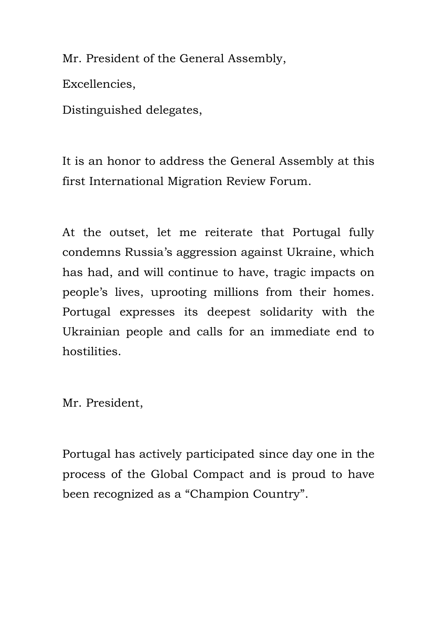Mr. President of the General Assembly,

Excellencies,

Distinguished delegates,

It is an honor to address the General Assembly at this first International Migration Review Forum.

At the outset, let me reiterate that Portugal fully condemns Russia's aggression against Ukraine, which has had, and will continue to have, tragic impacts on people's lives, uprooting millions from their homes. Portugal expresses its deepest solidarity with the Ukrainian people and calls for an immediate end to hostilities.

Mr. President,

Portugal has actively participated since day one in the process of the Global Compact and is proud to have been recognized as a "Champion Country".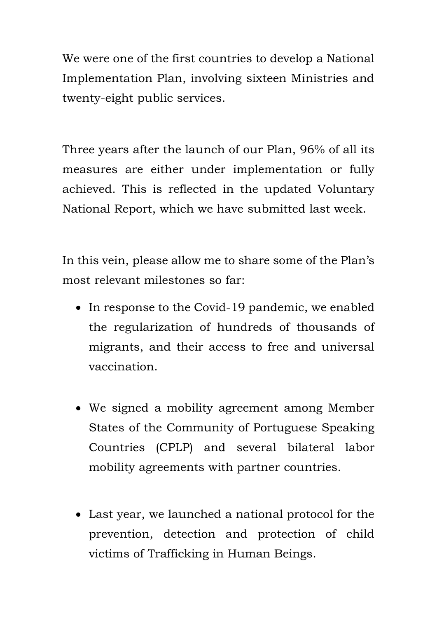We were one of the first countries to develop a National Implementation Plan, involving sixteen Ministries and twenty-eight public services.

Three years after the launch of our Plan, 96% of all its measures are either under implementation or fully achieved. This is reflected in the updated Voluntary National Report, which we have submitted last week.

In this vein, please allow me to share some of the Plan's most relevant milestones so far:

- In response to the Covid-19 pandemic, we enabled the regularization of hundreds of thousands of migrants, and their access to free and universal vaccination.
- We signed a mobility agreement among Member States of the Community of Portuguese Speaking Countries (CPLP) and several bilateral labor mobility agreements with partner countries.
- Last year, we launched a national protocol for the prevention, detection and protection of child victims of Trafficking in Human Beings.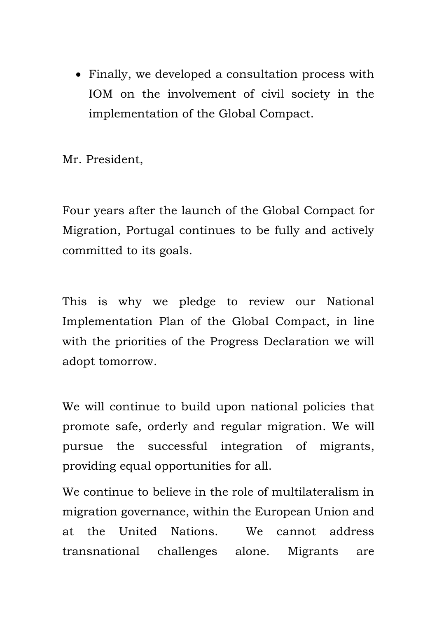• Finally, we developed a consultation process with IOM on the involvement of civil society in the implementation of the Global Compact.

Mr. President,

Four years after the launch of the Global Compact for Migration, Portugal continues to be fully and actively committed to its goals.

This is why we pledge to review our National Implementation Plan of the Global Compact, in line with the priorities of the Progress Declaration we will adopt tomorrow.

We will continue to build upon national policies that promote safe, orderly and regular migration. We will pursue the successful integration of migrants, providing equal opportunities for all.

We continue to believe in the role of multilateralism in migration governance, within the European Union and at the United Nations. We cannot address transnational challenges alone. Migrants are